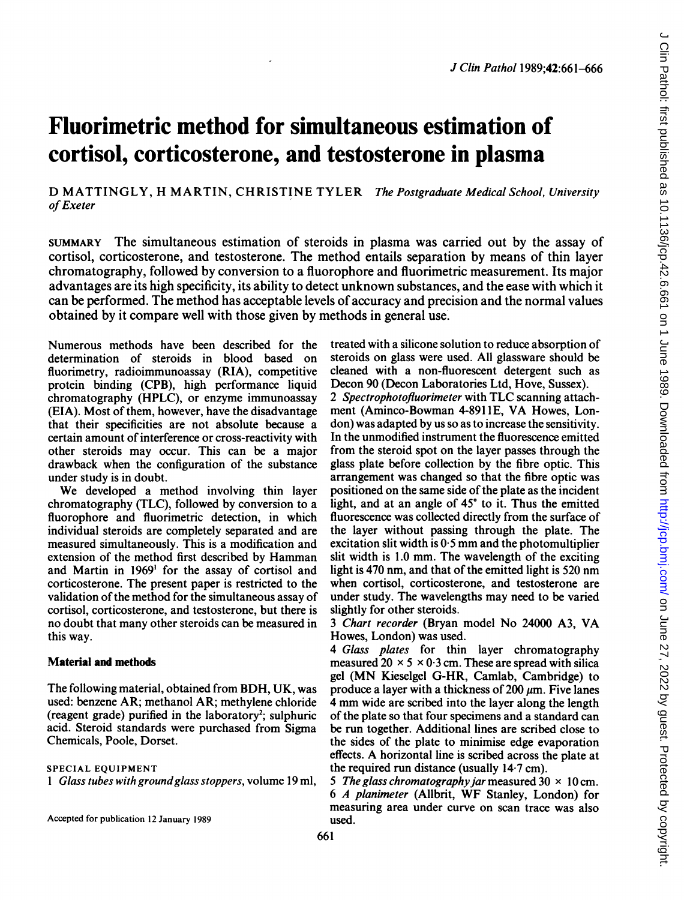# Fluorimetric method for simultaneous estimation of cortisol, corticosterone, and testosterone in plasma

D MATTINGLY, H MARTIN, CHRISTINE TYLER The Postgraduate Medical School, University of Exeter

SUMMARY The simultaneous estimation of steroids in plasma was carried out by the assay of cortisol, corticosterone, and testosterone. The method entails separation by means of thin layer chromatography, followed by conversion to a fluorophore and fluorimetric measurement. Its major advantages are its high specificity, its ability to detect unknown substances, and the ease with which it can be performed. The method has acceptable levels of accuracy and precision and the normal values obtained by it compare well with those given by methods in general use.

Numerous methods have been described for the determination of steroids in blood based on fluorimetry, radioimmunoassay (RIA), competitive protein binding (CPB), high performance liquid chromatography (HPLC), or enzyme immunoassay (EIA). Most of them, however, have the disadvantage that their specificities are not absolute because a certain amount of interference or cross-reactivity with other steroids may occur. This can be a major drawback when the configuration of the substance under study is in doubt.

We developed <sup>a</sup> method involving thin layer chromatography (TLC), followed by conversion to a fluorophore and fluorimetric detection, in which individual steroids are completely separated and are measured simultaneously. This is a modification and extension of the method first described by Hamman and Martin in 1969' for the assay of cortisol and corticosterone. The present paper is restricted to the validation of the method for the simultaneous assay of cortisol, corticosterone, and testosterone, but there is no doubt that many other steroids can be measured in this way.

#### Material and methods

The following material, obtained from BDH, UK, was used: benzene AR; methanol AR; methylene chloride (reagent grade) purified in the laboratory<sup>2</sup>; sulphuric acid. Steroid standards were purchased from Sigma Chemicals, Poole, Dorset.

#### SPECIAL EQUIPMENT

<sup>1</sup> Glass tubes with groundglass stoppers, volume 19 ml,

Accepted for publication 12 January 1989

treated with a silicone solution to reduce absorption of steroids on glass were used. All glassware should be cleaned with a non-fluorescent detergent such as Decon 90 (Decon Laboratories Ltd, Hove, Sussex).

<sup>2</sup> Spectrophotofluorimeter with TLC scanning attachment (Aminco-Bowman 4-8911E, VA Howes, London) was adapted by us so as to increase the sensitivity. In the unmodified instrument the fluorescence emitted from the steroid spot on the layer passes through the glass plate before collection by the fibre optic. This arrangement was changed so that the fibre optic was positioned on the same side of the plate as the incident light, and at an angle of  $45^\circ$  to it. Thus the emitted fluorescence was collected directly from the surface of the layer without passing through the plate. The excitation slit width is  $0.5$  mm and the photomultiplier slit width is 1.0 mm. The wavelength of the exciting light is 470 nm, and that of the emitted light is 520 nm when cortisol, corticosterone, and testosterone are under study. The wavelengths may need to be varied slightly for other steroids.

<sup>3</sup> Chart recorder (Bryan model No <sup>24000</sup> A3, VA Howes, London) was used.

4 Glass plates for thin layer chromatography measured  $20 \times 5 \times 0.3$  cm. These are spread with silica gel (MN Kieselgel G-HR, Camlab, Cambridge) to produce a layer with a thickness of 200  $\mu$ m. Five lanes <sup>4</sup> mm wide are scribed into the layer along the length of the plate so that four specimens and a standard can be run together. Additional lines are scribed close to the sides of the plate to minimise edge evaporation effects. A horizontal line is scribed across the plate at the required run distance (usually 14-7 cm).

5 The glass chromatography jar measured  $30 \times 10$  cm. <sup>6</sup> A planimeter (Allbrit, WF Stanley, London) for measuring area under curve on scan trace was also used.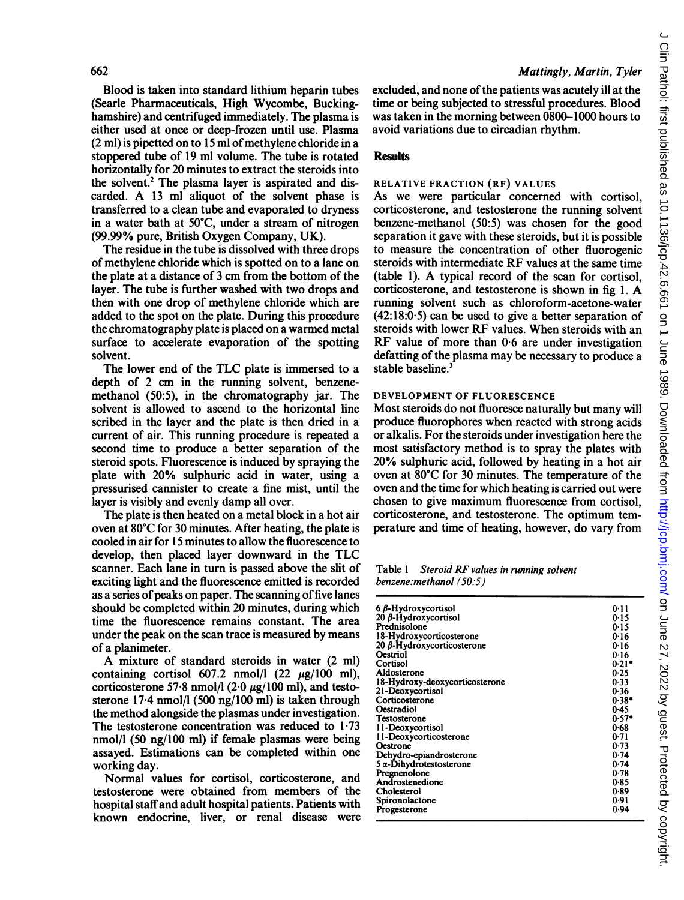Blood is taken into standard lithium heparin tubes (Searle Pharmaceuticals, High Wycombe, Buckinghamshire) and centrifuged immediately. The plasma is either used at once or deep-frozen until use. Plasma  $(2 \text{ ml})$  is pipetted on to 15 ml of methylene chloride in a stoppered tube of 19 ml volume. The tube is rotated horizontally for 20 minutes to extract the steroids into the solvent.<sup>2</sup> The plasma layer is aspirated and discarded. A <sup>13</sup> ml aliquot of the solvent phase is transferred to a clean tube and evaporated to dryness in a water bath at 50°C, under a stream of nitrogen (99.99% pure, British Oxygen Company, UK).

The residue in the tube is dissolved with three drops of methylene chloride which is spotted on to a lane on the plate at a distance of <sup>3</sup> cm from the bottom of the layer. The tube is further washed with two drops and then with one drop of methylene chloride which are added to the spot on the plate. During this procedure the chromatography plate is placed on a warmed metal surface to accelerate evaporation of the spotting solvent.

The lower end of the TLC plate is immersed to <sup>a</sup> depth of 2 cm in the running solvent, benzenemethanol (50:5), in the chromatography jar. The solvent is allowed to ascend to the horizontal line scribed in the layer and the plate is then dried in a current of air. This running procedure is repeated a second time to produce a better separation of the steroid spots. Fluorescence is induced by spraying the plate with 20% sulphuric acid in water, using a pressurised cannister to create a fine mist, until the layer is visibly and evenly damp all over.

The plate is then heated on a metal block in a hot air oven at 80°C for 30 minutes. After heating, the plate is cooled in air for <sup>15</sup> minutes to allow the fluorescence to develop, then placed layer downward in the TLC scanner. Each lane in turn is passed above the slit of exciting light and the fluorescence emitted is recorded as a series of peaks on paper. The scanning of five lanes should be completed within 20 minutes, during which time the fluorescence remains constant. The area under the peak on the scan trace is measured by means of a planimeter.

A mixture of standard steroids in water (2 ml) containing cortisol 607.2 nmol/l  $(22 \mu g/100 \text{ ml})$ , corticosterone 57.8 nmol/l  $(2.0 \mu g/100 \text{ ml})$ , and testosterone 17-4 nmol/l (500 ng/100 ml) is taken through the method alongside the plasmas under investigation. The testosterone concentration was reduced to  $1.73$ nmol/l (50 ng/100 ml) if female plasmas were being assayed. Estimations can be completed within one working day.

Normal values for cortisol, corticosterone, and testosterone were obtained from members of the hospital staff and adult hospital patients. Patients with known endocrine, liver, or renal disease were excluded, and none of the patients was acutely ill at the time or being subjected to stressful procedures. Blood was taken in the morning between 0800-1000 hours to avoid variations due to circadian rhythm.

# **Results**

#### RELATIVE FRACTION (RF) VALUES

As we were particular concerned with cortisol, corticosterone, and testosterone the running solvent benzene-methanol (50:5) was chosen for the good separation it gave with these steroids, but it is possible to measure the concentration of other fluorogenic steroids with intermediate RF values at the same time (table 1). A typical record of the scan for cortisol, corticosterone, and testosterone is shown in fig 1. A running solvent such as chloroform-acetone-water  $(42:18:0.5)$  can be used to give a better separation of steroids with lower RF values. When steroids with an RF value of more than 0-6 are under investigation defatting of the plasma may be necessary to produce a stable baseline.<sup>3</sup>

#### DEVELOPMENT OF FLUORESCENCE

Most steroids do not fluoresce naturally but many will produce fluorophores when reacted with strong acids or alkalis. For the steroids under investigation here the most satisfactory method is to spray the plates with 20% sulphuric acid, followed by heating in a hot air oven at 80°C for 30 minutes. The temperature of the oven and the time for which heating is carried out were chosen to give maximum fluorescence from cortisol, corticosterone, and testosterone. The optimum temperature and time of heating, however, do vary from

Table <sup>1</sup> Steroid RF values in running solvent benzene:methanol (50:5)

| $6 \beta$ -Hydroxycortisol     | 0.11    |
|--------------------------------|---------|
| 20 β-Hydroxycortisol           | 0.15    |
| Prednisolone                   | 0.15    |
| 18-Hydroxycorticosterone       | 0.16    |
|                                |         |
| 20 B-Hydroxycorticosterone     | 0.16    |
| Oestriol                       | 0.16    |
| Cortisol                       | $0.21*$ |
| Aldosterone                    | 0.25    |
| 18-Hydroxy-deoxycorticosterone | 0.33    |
| 21-Deoxycortisol               | 0.36    |
| Corticosterone                 | $0.38*$ |
| Oestradiol                     |         |
|                                | 0.45    |
| Testosterone                   | $0.57*$ |
| 11-Deoxycortisol               | 0.68    |
| 11-Deoxycorticosterone         | 0.71    |
| Oestrone                       | 0.73    |
| Dehydro-epiandrosterone        | 0.74    |
| $5\alpha$ -Dihydrotestosterone | 0.74    |
|                                |         |
| Pregnenolone                   | 0.78    |
| Androstenedione                | 0.85    |
| Cholesterol                    | 0.89    |
| Spironolactone                 | 0.91    |
| Progesterone                   | 0.94    |
|                                |         |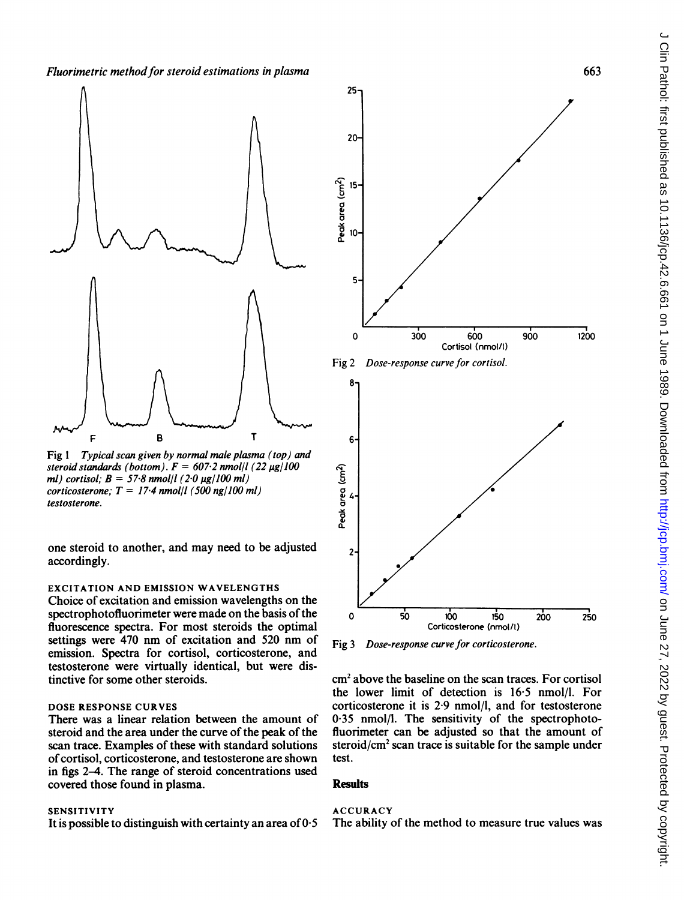

Fig 1 Typical scan given by normal male plasma (top) and steroid standards (bottom).  $F = 607.2$  nmol/l (22 µg/100 ml) cortisol;  $B = 57.8$  nmol/l (2.0  $\mu$ g/100 ml) corticosterone:  $T = 17.4$  nmol/l (500 ng/100 ml) testosterone.

one steroid to another, and may need to be adjusted accordingly.

# EXCITATION AND EMISSION WAVELENGTHS

Choice of excitation and emission wavelengths on the spectrophotofluorimeter were made on the basis of the fluorescence spectra. For most steroids the optimal settings were 470 nm of excitation and <sup>520</sup> nm of emission. Spectra for cortisol, corticosterone, and testosterone were virtually identical, but were distinctive for some other steroids.

# DOSE RESPONSE CURVES

There was a linear relation between the amount of steroid and the area under the curve of the peak of the scan trace. Examples of these with standard solutions of cortisol, corticosterone, and testosterone are shown in figs 2-4. The range of steroid concentrations used covered those found in plasma.

SENSITIVITY<br>It is possible to distinguish with certainty an area of 0.5 The ability of the method to measure true values was It is possible to distinguish with certainty an area of  $0.5$ 



Fig 3 Dose-response curve for corticosterone.

cm2 above the baseline on the scan traces. For cortisol the lower limit of detection is 16-5 nmol/l. For corticosterone it is 2-9 nmol/l, and for testosterone 0 35 nmol/l. The sensitivity of the spectrophotofluorimeter can be adjusted so that the amount of steroid/cm<sup>2</sup> scan trace is suitable for the sample under test.

#### **Results**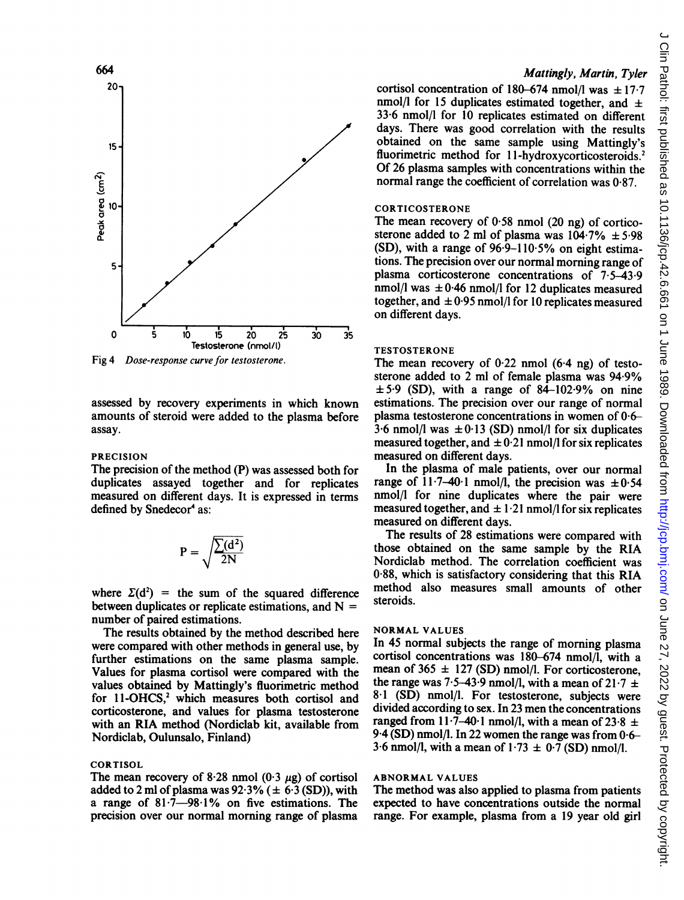

Fig 4 Dose-response curve for testosterone.

assessed by recovery experiments in which known amounts of steroid were added to the plasma before assay.

#### PRECISION

The precision of the method (P) was assessed both for duplicates assayed together and for replicates measured on different days. It is expressed in terms defined by Snedecor<sup>4</sup> as:

$$
P = \sqrt{\frac{\sum (d^2)}{2N}}
$$

where  $\Sigma(d^2)$  = the sum of the squared difference between duplicates or replicate estimations, and  $N =$ number of paired estimations.

The results obtained by the method described here were compared with other methods in general use, by further estimations on the same plasma sample. Values for plasma cortisol were compared with the values obtained by Mattingly's fluorimetric method for 11-OHCS,<sup>2</sup> which measures both cortisol and corticosterone, and values for plasma testosterone with an RIA method (Nordiclab kit, available from Nordiclab, Oulunsalo, Finland)

# CORTISOL

The mean recovery of 8.28 nmol  $(0.3 \mu g)$  of cortisol added to 2 ml of plasma was  $92.3\%$  ( $\pm$  6.3 (SD)), with a range of  $81.7-98.1\%$  on five estimations. The precision over our normal morning range of plasma

# Mattingly, Martin, Tyler

cortisol concentration of 180-674 nmol/l was  $\pm$  17.7 nmol/l for 15 duplicates estimated together, and  $\pm$ 33-6 nmol/l for 10 replicates estimated on different days. There was good correlation with the results obtained on the same sample using Mattingly's fluorimetric method for 11-hydroxycorticosteroids.<sup>2</sup> Of 26 plasma samples with concentrations within the normal range the coefficient of correlation was 0-87.

# **CORTICOSTERONE**

The mean recovery of  $0.58$  nmol (20 ng) of corticosterone added to 2 ml of plasma was  $104.7\% \pm 5.98$ (SD), with a range of 96-9-110-5% on eight estimations. The precision over our normal morning range of plasma corticosterone concentrations of 7.5-43-9 nmol/l was  $\pm 0.46$  nmol/l for 12 duplicates measured together, and  $\pm 0.95$  nmol/l for 10 replicates measured on different days.

#### **TESTOSTERONE**

The mean recovery of  $0.22$  nmol  $(6.4 \text{ ng})$  of testosterone added to <sup>2</sup> ml of female plasma was 94 9%  $\pm$  5.9 (SD), with a range of 84-102.9% on nine estimations. The precision over our range of normal plasma testosterone concentrations in women of 0-6-  $3.6$  nmol/l was  $\pm 0.13$  (SD) nmol/l for six duplicates measured together, and  $\pm 0.21$  nmol/l for six replicates measured on different days.

In the plasma of male patients, over our normal range of  $11.7-40.1$  nmol/l, the precision was  $\pm 0.54$ nmol/l for nine duplicates where the pair were measured together, and  $\pm 1.21$  nmol/l for six replicates measured on different days.

The results of 28 estimations were compared with those obtained on the same sample by the RIA Nordiclab method. The correlation coefficient was 0-88, which is satisfactory considering that this RIA method also measures small amounts of other steroids.

## NORMAL VALUES

In 45 normal subjects the range of morning plasma cortisol concentrations was 180-674 nmol/l, with a mean of  $365 \pm 127$  (SD) nmol/l. For corticosterone, the range was 7.5–43.9 nmol/l, with a mean of  $21.7 \pm$ 8-1 (SD) nmol/l. For testosterone, subjects were divided according to sex. In 23 men the concentrations ranged from 11.7-40.1 nmol/l, with a mean of 23.8  $\pm$ 9.4 (SD) nmol/l. In 22 women the range was from 0-6- 3.6 nmol/l, with a mean of  $1.73 \pm 0.7$  (SD) nmol/l.

#### ABNORMAL VALUES

The method was also applied to plasma from patients expected to have concentrations outside the normal range. For example, plasma from a 19 year old girl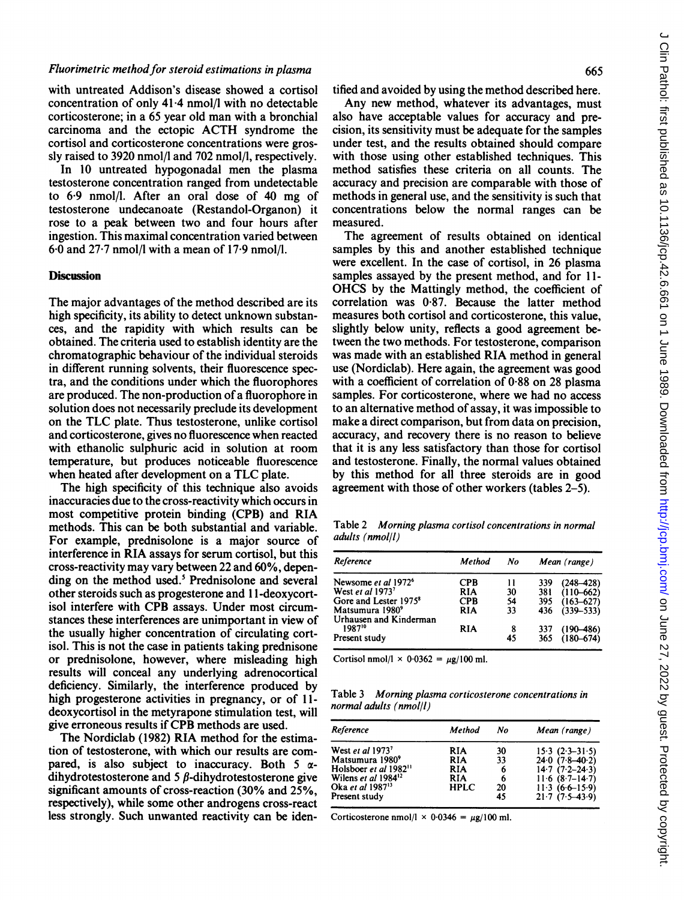with untreated Addison's disease showed a cortisol concentration of only 41-4 nmol/l with no detectable corticosterone; in a 65 year old man with a bronchial carcinoma and the ectopic ACTH syndrome the cortisol and corticosterone concentrations were grossly raised to 3920 nmol/l and 702 nmol/l, respectively.

In 10 untreated hypogonadal men the plasma testosterone concentration ranged from undetectable to 6-9 nmol/l. After an oral dose of 40 mg of testosterone undecanoate (Restandol-Organon) it rose to a peak between two and four hours after ingestion. This maximal concentration varied between 6-0 and 27-7 nmol/l with a mean of 17-9 nmol/l.

#### **Discussion**

The major advantages of the method described are its high specificity, its ability to detect unknown substances, and the rapidity with which results can be obtained. The criteria used to establish identity are the chromatographic behaviour of the individual steroids in different running solvents, their fluorescence spectra, and the conditions under which the fluorophores are produced. The non-production of a fluorophore in solution does not necessarily preclude its development on the TLC plate. Thus testosterone, unlike cortisol and corticosterone, gives no fluorescence when reacted with ethanolic sulphuric acid in solution at room temperature, but produces noticeable fluorescence when heated after development on <sup>a</sup> TLC plate.

The high specificity of this technique also avoids inaccuracies due to the cross-reactivity which occurs in most competitive protein binding (CPB) and RIA methods. This can be both substantial and variable. For example, prednisolone is a major source of interference in RIA assays for serum cortisol, but this cross-reactivity may vary between 22 and 60%, depending on the method used.<sup>5</sup> Prednisolone and several other steroids such as progesterone and <sup>11</sup> -deoxycortisol interfere with CPB assays. Under most circumstances these interferences are unimportant in view of the usually higher concentration of circulating cortisol. This is not the case in patients taking prednisone or prednisolone, however, where misleading high results will conceal any underlying adrenocortical deficiency. Similarly, the interference produced by high progesterone activities in pregnancy, or of 11deoxycortisol in the metyrapone stimulation test, will give erroneous results if CPB methods are used.

The Nordiclab (1982) RIA method for the estimation of testosterone, with which our results are compared, is also subject to inaccuracy. Both 5  $\alpha$ dihydrotestosterone and  $5 \beta$ -dihydrotestosterone give significant amounts of cross-reaction (30% and 25%, respectively), while some other androgens cross-react less strongly. Such unwanted reactivity can be identified and avoided by using the method described here.

Any new method, whatever its advantages, must also have acceptable values for accuracy and precision, its sensitivity must be adequate for the samples under test, and the results obtained should compare with those using other established techniques. This method satisfies these criteria on all counts. The accuracy and precision are comparable with those of methods in general use, and the sensitivity is such that concentrations below the normal ranges can be measured.

The agreement of results obtained on identical samples by this and another established technique were excellent. In the case of cortisol, in 26 plasma samples assayed by the present method, and for 11- OHCS by the Mattingly method, the coefficient of correlation was 0-87. Because the latter method measures both cortisol and corticosterone, this value, slightly below unity, reflects a good agreement between the two methods. For testosterone, comparison was made with an established RIA method in general use (Nordiclab). Here again, the agreement was good with a coefficient of correlation of 0-88 on 28 plasma samples. For corticosterone, where we had no access to an alternative method of assay, it was impossible to make a direct comparison, but from data on precision, accuracy, and recovery there is no reason to believe that it is any less satisfactory than those for cortisol and testosterone. Finally, the normal values obtained by this method for all three steroids are in good agreement with those of other workers (tables 2-5).

Table 2 Morning plasma cortisol concentrations in normal adults (nmol/l)

| Reference<br>Newsome et al 1972 <sup>6</sup> | <b>Method</b><br><b>CPB</b> | No<br>11 | Mean (range) |               |
|----------------------------------------------|-----------------------------|----------|--------------|---------------|
|                                              |                             |          | 339          | $(248 - 428)$ |
| West et al 1973 <sup>7</sup>                 | <b>RIA</b>                  | 30       | 381          | $(110 - 662)$ |
| Gore and Lester 1975 <sup>8</sup>            | <b>CPB</b>                  | 54       | 395          | $(163 - 627)$ |
| Matsumura 1980 <sup>9</sup>                  | <b>RIA</b>                  | 33       | 436          | $(339 - 533)$ |
| Urhausen and Kinderman                       |                             |          |              |               |
| 198710                                       | <b>RIA</b>                  | 8        | 337          | $(190 - 486)$ |
| Present study                                |                             | 45       | 365          | $(180 - 674)$ |

Cortisol nmol/l  $\times$  0.0362 =  $\mu$ g/100 ml.

Table 3 Morning plasma corticosterone concentrations in normal adults (nmol/l)

|    | Mean (range)                  |
|----|-------------------------------|
|    | $15.3$ $(2.3-31.5)$           |
|    | $24.0(7.8-40.2)$              |
|    | $14.7(7.2 - 24.3)$            |
| 6  | $11.6(8.7-14.7)$              |
|    | $11.3(6.6-15.9)$              |
| 45 | $21.7(7.5-43.9)$              |
|    | Method<br>30<br>33<br>6<br>20 |

Corticosterone nmol/l  $\times$  0.0346 =  $\mu$ g/100 ml.

665